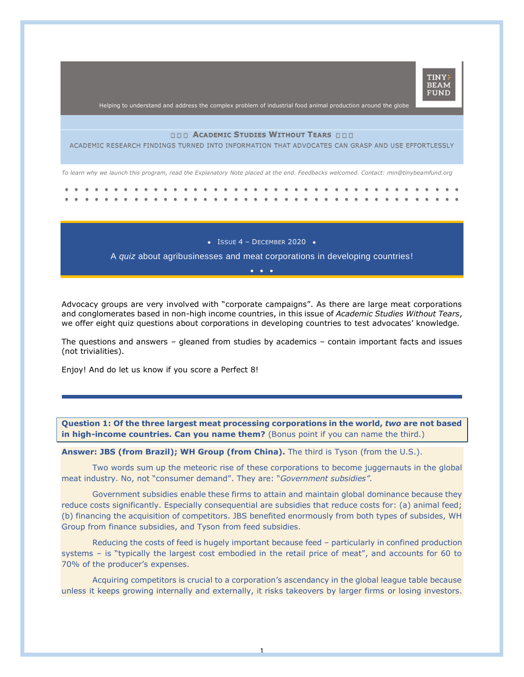

Helping to understand and address the complex problem of industrial food animal production around the globe

## **ACADEMIC STUDIES WITHOUT TEARS**

ACADEMIC RESEARCH FINDINGS TURNED INTO INFORMATION THAT ADVOCATES CAN GRASP AND USE EFFORTLESSLY

*To learn why we launch this program, read the Explanatory Note placed at the end. Feedbacks welcomed. Contact: min@tinybeamfund.org* 

. . . . . . . •• ••••• ••••• ••• •• ••• •• ••• •• ••• •• ••• •• •••

 $\bullet$  ISSUE 4 - DECEMBER 2020  $\bullet$ 

A *quiz* about agribusinesses and meat corporations in developing countries! •••

Advocacy groups are very involved with "corporate campaigns". As there are large meat corporations and conglomerates based in non-high income countries, in this issue of *Academic Studies Without Tears*, we offer eight quiz questions about corporations in developing countries to test advocates' knowledge.

The questions and answers – gleaned from studies by academics – contain important facts and issues (not trivialities).

Enjoy! And do let us know if you score a Perfect 8!

**Question 1: Of the three largest meat processing corporations in the world,** *two* **are not based in high-income countries. Can you name them?** (Bonus point if you can name the third.)

**Answer: JBS (from Brazil); WH Group (from China).** The third is Tyson (from the U.S.).

Two words sum up the meteoric rise of these corporations to become juggernauts in the global meat industry. No, not "consumer demand". They are: "*Government subsidies".*

Government subsidies enable these firms to attain and maintain global dominance because they reduce costs significantly. Especially consequential are subsidies that reduce costs for: (a) animal feed; (b) financing the acquisition of competitors. JBS benefited enormously from both types of subsides, WH Group from finance subsidies, and Tyson from feed subsidies.

Reducing the costs of feed is hugely important because feed – particularly in confined production systems – is "typically the largest cost embodied in the retail price of meat", and accounts for 60 to 70% of the producer's expenses.

Acquiring competitors is crucial to a corporation's ascendancy in the global league table because unless it keeps growing internally and externally, it risks takeovers by larger firms or losing investors.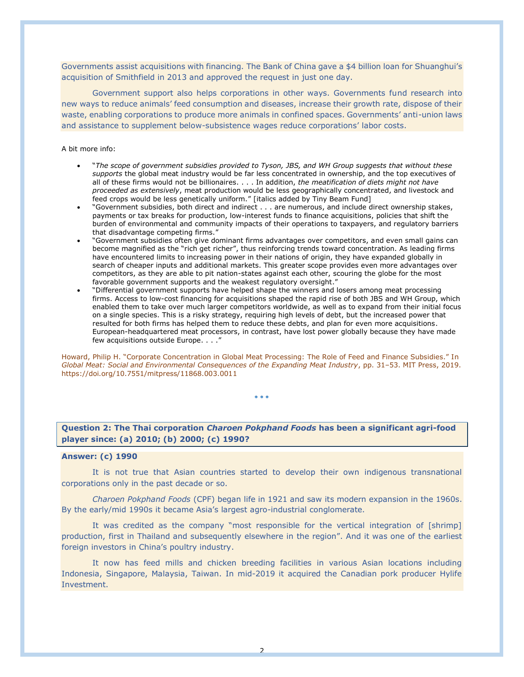Governments assist acquisitions with financing. The Bank of China gave a \$4 billion loan for Shuanghui's acquisition of Smithfield in 2013 and approved the request in just one day.

Government support also helps corporations in other ways. Governments fund research into new ways to reduce animals' feed consumption and diseases, increase their growth rate, dispose of their waste, enabling corporations to produce more animals in confined spaces. Governments' anti-union laws and assistance to supplement below-subsistence wages reduce corporations' labor costs.

#### A bit more info:

- "*The scope of government subsidies provided to Tyson, JBS, and WH Group suggests that without these supports* the global meat industry would be far less concentrated in ownership, and the top executives of all of these firms would not be billionaires. . . . In addition, *the meatification of diets might not have proceeded as extensively*, meat production would be less geographically concentrated, and livestock and feed crops would be less genetically uniform." [italics added by Tiny Beam Fund]
- "Government subsidies, both direct and indirect . . . are numerous, and include direct ownership stakes, payments or tax breaks for production, low-interest funds to finance acquisitions, policies that shift the burden of environmental and community impacts of their operations to taxpayers, and regulatory barriers that disadvantage competing firms."
- "Government subsidies often give dominant firms advantages over competitors, and even small gains can become magnified as the "rich get richer", thus reinforcing trends toward concentration. As leading firms have encountered limits to increasing power in their nations of origin, they have expanded globally in search of cheaper inputs and additional markets. This greater scope provides even more advantages over competitors, as they are able to pit nation-states against each other, scouring the globe for the most favorable government supports and the weakest regulatory oversight."
- "Differential government supports have helped shape the winners and losers among meat processing firms. Access to low-cost financing for acquisitions shaped the rapid rise of both JBS and WH Group, which enabled them to take over much larger competitors worldwide, as well as to expand from their initial focus on a single species. This is a risky strategy, requiring high levels of debt, but the increased power that resulted for both firms has helped them to reduce these debts, and plan for even more acquisitions. European-headquartered meat processors, in contrast, have lost power globally because they have made few acquisitions outside Europe. . . ."

Howard, Philip H. "Corporate Concentration in Global Meat Processing: The Role of Feed and Finance Subsidies." In *Global Meat: Social and Environmental Consequences of the Expanding Meat Industry*, pp. 31–53. MIT Press, 2019. https://doi.org/10.7551/mitpress/11868.003.0011

• • •

# **Question 2: The Thai corporation** *Charoen Pokphand Foods* **has been a significant agri-food player since: (a) 2010; (b) 2000; (c) 1990?**

### **Answer: (c) 1990**

It is not true that Asian countries started to develop their own indigenous transnational corporations only in the past decade or so.

*Charoen Pokphand Foods* (CPF) began life in 1921 and saw its modern expansion in the 1960s. By the early/mid 1990s it became Asia's largest agro-industrial conglomerate.

It was credited as the company "most responsible for the vertical integration of [shrimp] production, first in Thailand and subsequently elsewhere in the region". And it was one of the earliest foreign investors in China's poultry industry.

It now has feed mills and chicken breeding facilities in various Asian locations including Indonesia, Singapore, Malaysia, Taiwan. In mid-2019 it acquired the Canadian pork producer Hylife Investment.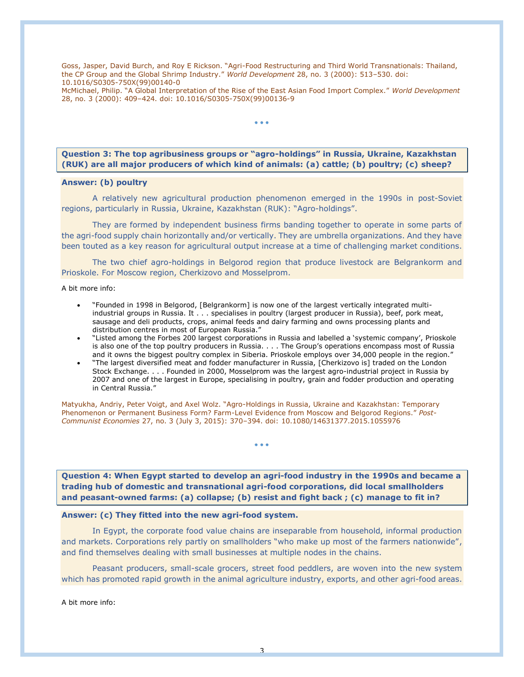Goss, Jasper, David Burch, and Roy E Rickson. "Agri-Food Restructuring and Third World Transnationals: Thailand, the CP Group and the Global Shrimp Industry." *World Development* 28, no. 3 (2000): 513–530. doi: 10.1016/S0305-750X(99)00140-0

McMichael, Philip. "A Global Interpretation of the Rise of the East Asian Food Import Complex." *World Development* 28, no. 3 (2000): 409–424. doi: 10.1016/S0305-750X(99)00136-9

• • •

**Question 3: The top agribusiness groups or "agro-holdings" in Russia, Ukraine, Kazakhstan (RUK) are all major producers of which kind of animals: (a) cattle; (b) poultry; (c) sheep?**

## **Answer: (b) poultry**

A relatively new agricultural production phenomenon emerged in the 1990s in post-Soviet regions, particularly in Russia, Ukraine, Kazakhstan (RUK): "Agro-holdings".

They are formed by independent business firms banding together to operate in some parts of the agri-food supply chain horizontally and/or vertically. They are umbrella organizations. And they have been touted as a key reason for agricultural output increase at a time of challenging market conditions.

The two chief agro-holdings in Belgorod region that produce livestock are Belgrankorm and Prioskole. For Moscow region, Cherkizovo and Mosselprom.

A bit more info:

- "Founded in 1998 in Belgorod, [Belgrankorm] is now one of the largest vertically integrated multiindustrial groups in Russia. It . . . specialises in poultry (largest producer in Russia), beef, pork meat, sausage and deli products, crops, animal feeds and dairy farming and owns processing plants and distribution centres in most of European Russia."
- "Listed among the Forbes 200 largest corporations in Russia and labelled a 'systemic company', Prioskole is also one of the top poultry producers in Russia. . . . The Group's operations encompass most of Russia and it owns the biggest poultry complex in Siberia. Prioskole employs over 34,000 people in the region."
- "The largest diversified meat and fodder manufacturer in Russia, [Cherkizovo is] traded on the London Stock Exchange. . . . Founded in 2000, Mosselprom was the largest agro-industrial project in Russia by 2007 and one of the largest in Europe, specialising in poultry, grain and fodder production and operating in Central Russia."

Matyukha, Andriy, Peter Voigt, and Axel Wolz. "Agro-Holdings in Russia, Ukraine and Kazakhstan: Temporary Phenomenon or Permanent Business Form? Farm-Level Evidence from Moscow and Belgorod Regions." *Post-Communist Economies* 27, no. 3 (July 3, 2015): 370–394. doi: 10.1080/14631377.2015.1055976

**Question 4: When Egypt started to develop an agri-food industry in the 1990s and became a trading hub of domestic and transnational agri-food corporations, did local smallholders and peasant-owned farms: (a) collapse; (b) resist and fight back ; (c) manage to fit in?**

• • •

#### **Answer: (c) They fitted into the new agri-food system.**

In Egypt, the corporate food value chains are inseparable from household, informal production and markets. Corporations rely partly on smallholders "who make up most of the farmers nationwide", and find themselves dealing with small businesses at multiple nodes in the chains.

Peasant producers, small-scale grocers, street food peddlers, are woven into the new system which has promoted rapid growth in the animal agriculture industry, exports, and other agri-food areas.

A bit more info: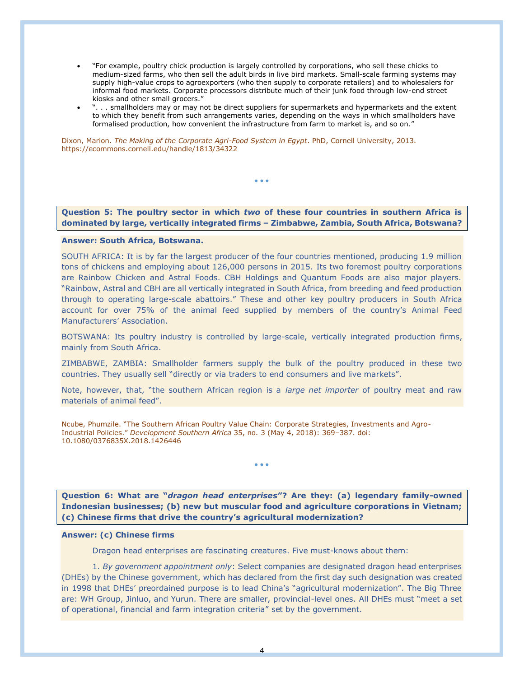- "For example, poultry chick production is largely controlled by corporations, who sell these chicks to medium-sized farms, who then sell the adult birds in live bird markets. Small-scale farming systems may supply high-value crops to agroexporters (who then supply to corporate retailers) and to wholesalers for informal food markets. Corporate processors distribute much of their junk food through low-end street kiosks and other small grocers."
- ". . . smallholders may or may not be direct suppliers for supermarkets and hypermarkets and the extent to which they benefit from such arrangements varies, depending on the ways in which smallholders have formalised production, how convenient the infrastructure from farm to market is, and so on."

Dixon, Marion. *The Making of the Corporate Agri-Food System in Egypt*. PhD, Cornell University, 2013. https://ecommons.cornell.edu/handle/1813/34322

**Question 5: The poultry sector in which** *two* **of these four countries in southern Africa is dominated by large, vertically integrated firms – Zimbabwe, Zambia, South Africa, Botswana?**

• • •

**Answer: South Africa, Botswana.**

SOUTH AFRICA: It is by far the largest producer of the four countries mentioned, producing 1.9 million tons of chickens and employing about 126,000 persons in 2015. Its two foremost poultry corporations are Rainbow Chicken and Astral Foods. CBH Holdings and Quantum Foods are also major players. "Rainbow, Astral and CBH are all vertically integrated in South Africa, from breeding and feed production through to operating large-scale abattoirs." These and other key poultry producers in South Africa account for over 75% of the animal feed supplied by members of the country's Animal Feed Manufacturers' Association.

BOTSWANA: Its poultry industry is controlled by large-scale, vertically integrated production firms, mainly from South Africa.

ZIMBABWE, ZAMBIA: Smallholder farmers supply the bulk of the poultry produced in these two countries. They usually sell "directly or via traders to end consumers and live markets".

Note, however, that, "the southern African region is a *large net importer* of poultry meat and raw materials of animal feed".

Ncube, Phumzile. "The Southern African Poultry Value Chain: Corporate Strategies, Investments and Agro-Industrial Policies." *Development Southern Africa* 35, no. 3 (May 4, 2018): 369–387. doi: 10.1080/0376835X.2018.1426446

**Question 6: What are "***dragon head enterprises***"? Are they: (a) legendary family-owned Indonesian businesses; (b) new but muscular food and agriculture corporations in Vietnam; (c) Chinese firms that drive the country's agricultural modernization?**

• • •

## **Answer: (c) Chinese firms**

Dragon head enterprises are fascinating creatures. Five must-knows about them:

1. *By government appointment only*: Select companies are designated dragon head enterprises (DHEs) by the Chinese government, which has declared from the first day such designation was created in 1998 that DHEs' preordained purpose is to lead China's "agricultural modernization". The Big Three are: WH Group, Jinluo, and Yurun. There are smaller, provincial-level ones. All DHEs must "meet a set of operational, financial and farm integration criteria" set by the government.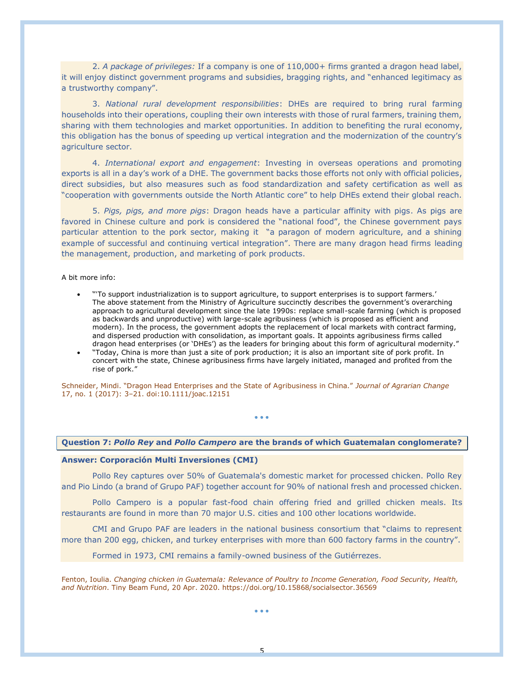2. *A package of privileges:* If a company is one of 110,000+ firms granted a dragon head label, it will enjoy distinct government programs and subsidies, bragging rights, and "enhanced legitimacy as a trustworthy company".

3. *National rural development responsibilities*: DHEs are required to bring rural farming households into their operations, coupling their own interests with those of rural farmers, training them, sharing with them technologies and market opportunities. In addition to benefiting the rural economy, this obligation has the bonus of speeding up vertical integration and the modernization of the country's agriculture sector.

4. *International export and engagement*: Investing in overseas operations and promoting exports is all in a day's work of a DHE. The government backs those efforts not only with official policies, direct subsidies, but also measures such as food standardization and safety certification as well as "cooperation with governments outside the North Atlantic core" to help DHEs extend their global reach.

5. *Pigs, pigs, and more pigs*: Dragon heads have a particular affinity with pigs. As pigs are favored in Chinese culture and pork is considered the "national food", the Chinese government pays particular attention to the pork sector, making it "a paragon of modern agriculture, and a shining example of successful and continuing vertical integration". There are many dragon head firms leading the management, production, and marketing of pork products.

A bit more info:

- "'To support industrialization is to support agriculture, to support enterprises is to support farmers.' The above statement from the Ministry of Agriculture succinctly describes the government's overarching approach to agricultural development since the late 1990s: replace small-scale farming (which is proposed as backwards and unproductive) with large-scale agribusiness (which is proposed as efficient and modern). In the process, the government adopts the replacement of local markets with contract farming, and dispersed production with consolidation, as important goals. It appoints agribusiness firms called dragon head enterprises (or 'DHEs') as the leaders for bringing about this form of agricultural modernity."
- "Today, China is more than just a site of pork production; it is also an important site of pork profit. In concert with the state, Chinese agribusiness firms have largely initiated, managed and profited from the rise of pork."

Schneider, Mindi. "Dragon Head Enterprises and the State of Agribusiness in China." *Journal of Agrarian Change* 17, no. 1 (2017): 3–21. doi:10.1111/joac.12151

### **Question 7:** *Pollo Rey* **and** *Pollo Campero* **are the brands of which Guatemalan conglomerate?**

• • •

### **Answer: Corporación Multi Inversiones (CMI)**

Pollo Rey captures over 50% of Guatemala's domestic market for processed chicken. Pollo Rey and Pio Lindo (a brand of Grupo PAF) together account for 90% of national fresh and processed chicken.

Pollo Campero is a popular fast-food chain offering fried and grilled chicken meals. Its restaurants are found in more than 70 major U.S. cities and 100 other locations worldwide.

CMI and Grupo PAF are leaders in the national business consortium that "claims to represent more than 200 egg, chicken, and turkey enterprises with more than 600 factory farms in the country".

Formed in 1973, CMI remains a family-owned business of the Gutiérrezes.

Fenton, Ioulia. *Changing chicken in Guatemala: Relevance of Poultry to Income Generation, Food Security, Health, and Nutrition*. Tiny Beam Fund, 20 Apr. 2020. https://doi.org/10.15868/socialsector.36569

• • •